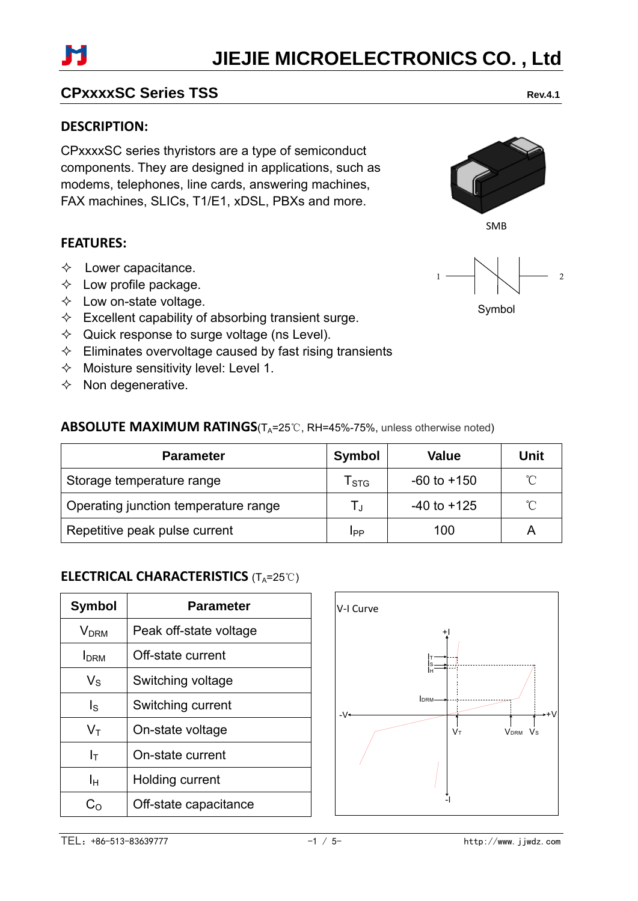# **JIEJIE MICROELECTRONICS CO. , Ltd**

# **CPxxxxSC Series TSS** Rev.4.1

### **DESCRIPTION:**

CPxxxxSC series thyristors are a type of semiconduct components. They are designed in applications, such as modems, telephones, line cards, answering machines, FAX machines, SLICs, T1/E1, xDSL, PBXs and more.

## **FEATURES:**

- $\Diamond$  Lower capacitance.
- $\Diamond$  Low profile package.
- $\Diamond$  Low on-state voltage.
- $\Diamond$  Excellent capability of absorbing transient surge.
- $\Diamond$  Quick response to surge voltage (ns Level).
- $\Diamond$  Eliminates overvoltage caused by fast rising transients
- $\Diamond$  Moisture sensitivity level: Level 1.
- $\Diamond$  Non degenerative.

# **ABSOLUTE MAXIMUM RATINGS**(T<sub>A</sub>=25℃, RH=45%-75%, unless otherwise noted)

| <b>Parameter</b>                     | <b>Symbol</b>             | Value           | Unit         |
|--------------------------------------|---------------------------|-----------------|--------------|
| Storage temperature range            | $\mathsf{T}_{\text{STG}}$ | $-60$ to $+150$ | °C           |
| Operating junction temperature range | T,                        | $-40$ to $+125$ | $^{\circ}$ C |
| Repetitive peak pulse current        | IPP                       | 100             |              |

# **ELECTRICAL CHARACTERISTICS** (T<sub>A</sub>=25℃)

| Symbol                  | Parameter              |  |  |  |
|-------------------------|------------------------|--|--|--|
| <b>V</b> <sub>DRM</sub> | Peak off-state voltage |  |  |  |
| <b>I</b> DRM            | Off-state current      |  |  |  |
| $V_{\rm S}$             | Switching voltage      |  |  |  |
| ls                      | Switching current      |  |  |  |
| $\mathsf{V}_\mathsf{T}$ | On-state voltage       |  |  |  |
| $\mathsf{l}_\mathsf{T}$ | On-state current       |  |  |  |
| Iн                      | Holding current        |  |  |  |
| C∩                      | Off-state capacitance  |  |  |  |









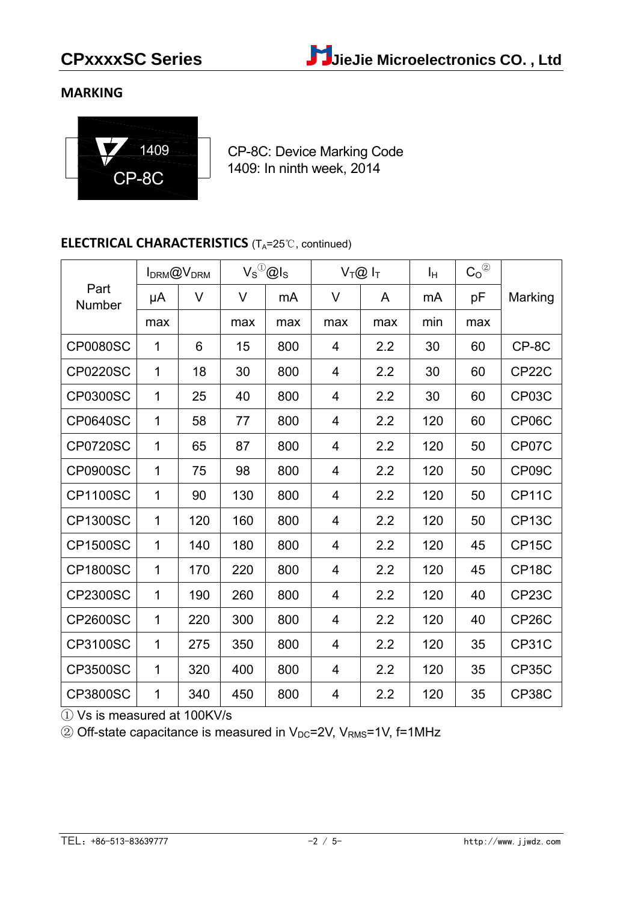# **MARKING**



CP-8C: Device Marking Code 1409: In ninth week, 2014

## **ELECTRICAL CHARACTERISTICS** (T<sub>A</sub>=25℃, continued)

|                 |             | <b>IDRM@VDRM</b> |     | $V_S^{\scriptsize\textcircled{\tiny 1}}\textcircled{\tiny 2}$ ls |                | $V_T@I_T$ | Iн  | $C_0^{\circledR}$ |                    |
|-----------------|-------------|------------------|-----|------------------------------------------------------------------|----------------|-----------|-----|-------------------|--------------------|
| Part<br>Number  | μA          | V                | V   | mA                                                               | V              | A         | mA  | рF                | Marking            |
|                 | max         |                  | max | max                                                              | max            | max       | min | max               |                    |
| <b>CP0080SC</b> | 1           | 6                | 15  | 800                                                              | 4              | 2.2       | 30  | 60                | CP-8C              |
| <b>CP0220SC</b> | $\mathbf 1$ | 18               | 30  | 800                                                              | $\overline{4}$ | 2.2       | 30  | 60                | CP22C              |
| <b>CP0300SC</b> | 1           | 25               | 40  | 800                                                              | $\overline{4}$ | 2.2       | 30  | 60                | CP03C              |
| <b>CP0640SC</b> | 1           | 58               | 77  | 800                                                              | $\overline{4}$ | 2.2       | 120 | 60                | CP06C              |
| <b>CP0720SC</b> | 1           | 65               | 87  | 800                                                              | 4              | 2.2       | 120 | 50                | CP07C              |
| <b>CP0900SC</b> | 1           | 75               | 98  | 800                                                              | 4              | 2.2       | 120 | 50                | CP09C              |
| <b>CP1100SC</b> | 1           | 90               | 130 | 800                                                              | 4              | 2.2       | 120 | 50                | CP11C              |
| <b>CP1300SC</b> | 1           | 120              | 160 | 800                                                              | 4              | 2.2       | 120 | 50                | CP <sub>13</sub> C |
| <b>CP1500SC</b> | 1           | 140              | 180 | 800                                                              | 4              | 2.2       | 120 | 45                | CP <sub>15</sub> C |
| <b>CP1800SC</b> | 1           | 170              | 220 | 800                                                              | 4              | 2.2       | 120 | 45                | CP <sub>18</sub> C |
| <b>CP2300SC</b> | 1           | 190              | 260 | 800                                                              | 4              | 2.2       | 120 | 40                | CP23C              |
| <b>CP2600SC</b> | 1           | 220              | 300 | 800                                                              | 4              | 2.2       | 120 | 40                | CP <sub>26</sub> C |
| <b>CP3100SC</b> | 1           | 275              | 350 | 800                                                              | 4              | 2.2       | 120 | 35                | <b>CP31C</b>       |
| <b>CP3500SC</b> | 1           | 320              | 400 | 800                                                              | 4              | 2.2       | 120 | 35                | <b>CP35C</b>       |
| <b>CP3800SC</b> | 1           | 340              | 450 | 800                                                              | 4              | 2.2       | 120 | 35                | <b>CP38C</b>       |

① Vs is measured at 100KV/s

 $\textcircled{2}$  Off-state capacitance is measured in V<sub>DC</sub>=2V, V<sub>RMS</sub>=1V, f=1MHz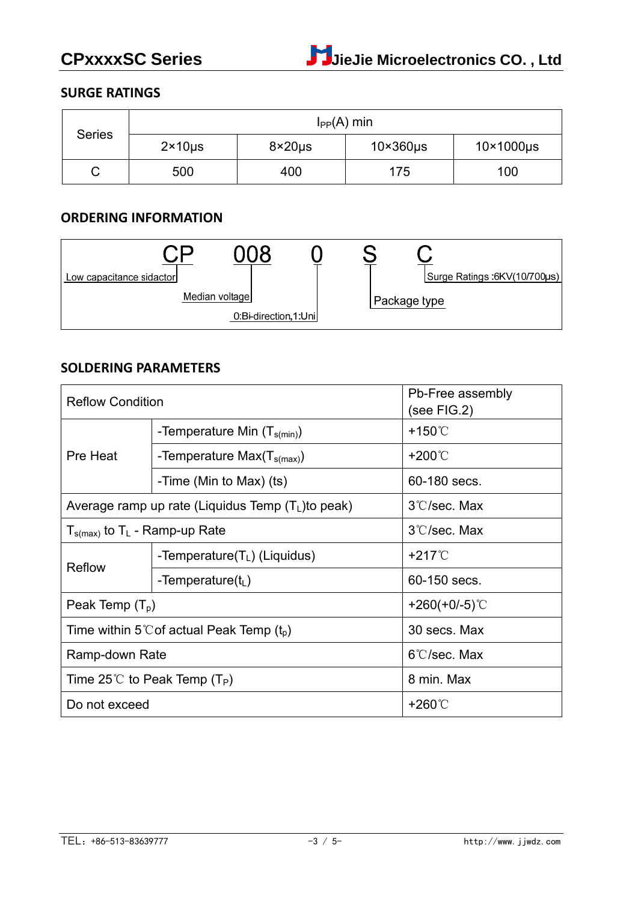# **SURGE RATINGS**

| <b>Series</b> |                     |                      | $I_{PP}(A)$ min |     |
|---------------|---------------------|----------------------|-----------------|-----|
|               | $2 \times 10 \mu s$ | $10\times360\,\mu s$ | 10×1000µs       |     |
| ບ             | 500                 | 400                  | 175             | 100 |

### **ORDERING INFORMATION**

| Low capacitance sidactor |                |                      |  | Surge Ratings :6KV(10/700µs) |
|--------------------------|----------------|----------------------|--|------------------------------|
|                          | Median voltage |                      |  | ⊦Package type                |
|                          |                | 0:Bi-direction,1:Uni |  |                              |

### **SOLDERING PARAMETERS**

| <b>Reflow Condition</b>                              |                                                      | Pb-Free assembly<br>(see FIG.2) |  |
|------------------------------------------------------|------------------------------------------------------|---------------------------------|--|
|                                                      | -Temperature Min $(T_{s(min)})$                      | +150℃                           |  |
| Pre Heat                                             | -Temperature Max $(T_{s(max)})$                      | +200℃                           |  |
|                                                      | -Time (Min to Max) (ts)                              | 60-180 secs.                    |  |
|                                                      | Average ramp up rate (Liquidus Temp $(T_L)$ to peak) | 3°C/sec. Max                    |  |
| $T_{\text{s(max)}}$ to T <sub>L</sub> - Ramp-up Rate |                                                      | 3°C/sec. Max                    |  |
| Reflow                                               | -Temperature( $T_L$ ) (Liquidus)                     | $+217^{\circ}$                  |  |
|                                                      | -Temperature( $t_L$ )                                | 60-150 secs.                    |  |
| Peak Temp $(T_p)$                                    |                                                      | +260(+0/-5) $°C$                |  |
|                                                      | Time within 5°C of actual Peak Temp $(t_p)$          | 30 secs. Max                    |  |
| Ramp-down Rate                                       |                                                      | $6^{\circ}$ C/sec. Max          |  |
| Time 25°C to Peak Temp (T <sub>P</sub> )             |                                                      | 8 min. Max                      |  |
| Do not exceed                                        |                                                      | +260℃                           |  |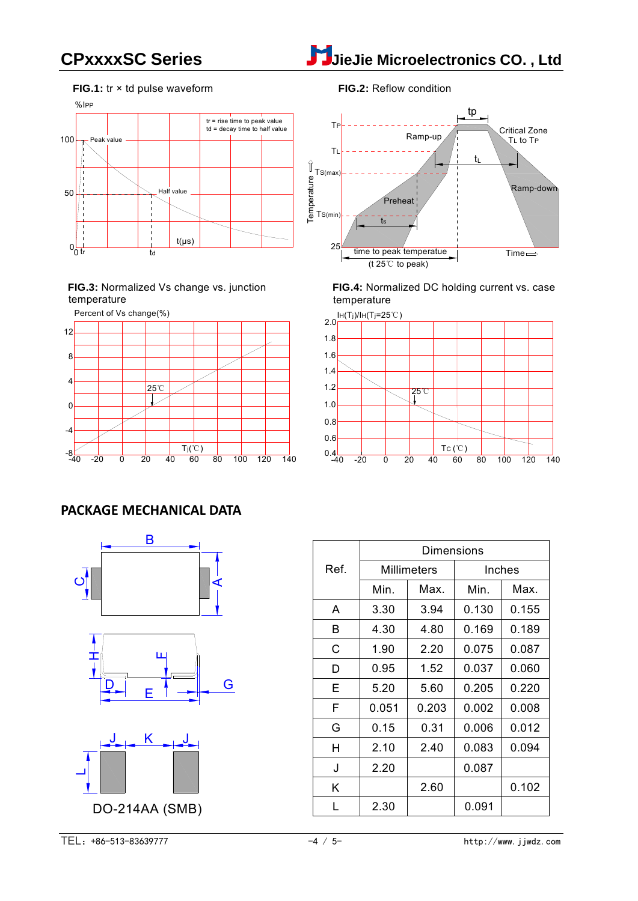

### **FIG.1:** tr × td pulse waveform



**FIG.3:** Normalized Vs change vs. junction temperature



### **FIG.2:** Reflow condition



**FIG.4:** Normalized DC holding current vs. case temperature



### **PACKAGE MECHANICAL DATA**





|      | Dimensions         |       |        |       |  |  |
|------|--------------------|-------|--------|-------|--|--|
| Ref. | <b>Millimeters</b> |       | Inches |       |  |  |
|      | Min.               | Max.  | Min.   | Max.  |  |  |
| A    | 3.30               | 3.94  | 0.130  | 0.155 |  |  |
| B    | 4.30               | 4.80  | 0.169  | 0.189 |  |  |
| C    | 1.90               | 2.20  | 0.075  | 0.087 |  |  |
| D    | 0.95               | 1.52  | 0.037  | 0.060 |  |  |
| Е    | 5.20               | 5.60  | 0.205  | 0.220 |  |  |
| F    | 0.051              | 0.203 | 0.002  | 0.008 |  |  |
| G    | 0.15               | 0.31  | 0.006  | 0.012 |  |  |
| н    | 2.10               | 2.40  | 0.083  | 0.094 |  |  |
| J    | 2.20               |       | 0.087  |       |  |  |
| Κ    |                    | 2.60  |        | 0.102 |  |  |
| L    | 2.30               |       | 0.091  |       |  |  |